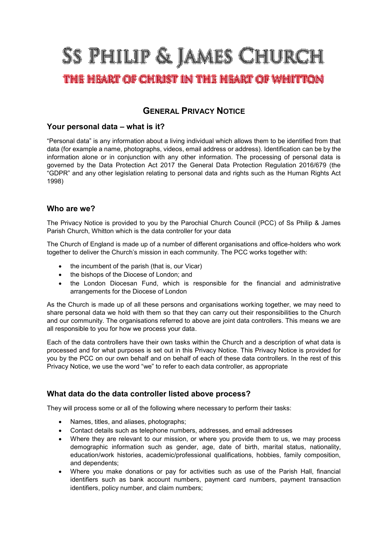# SS PHILIP & JAMES CHURCH

## THE HEART OF CHRIST IN THE HEART OF WHITTON

### **GENERAL PRIVACY NOTICE**

#### **Your personal data – what is it?**

**"Personal data" is any information about a living individual which allows them to be identified from that data (for example a name, photographs, videos, email address or address). Identification can be by the information alone or in conjunction with any other information. The processing of personal data is governed by the Data Protection Act 2017 the General Data Protection Regulation 2016/679 (the "GDPR" and any other legislation relating to personal data and rights such as the Human Rights Act 1998)**

#### **Who are we?**

**The Privacy Notice is provided to you by the Parochial Church Council (PCC) of Ss Philip & James Parish Church, Whitton which is the data controller for your data**

**The Church of England is made up of a number of different organisations and office-holders who work together to deliver the Church's mission in each community. The PCC works together with:**

- **the incumbent of the parish (that is, our Vicar)**
- **the bishops of the Diocese of London; and**
- **the London Diocesan Fund, which is responsible for the financial and administrative arrangements for the Diocese of London**

**As the Church is made up of all these persons and organisations working together, we may need to share personal data we hold with them so that they can carry out their responsibilities to the Church and our community. The organisations referred to above are joint data controllers. This means we are all responsible to you for how we process your data.**

**Each of the data controllers have their own tasks within the Church and a description of what data is processed and for what purposes is set out in this Privacy Notice. This Privacy Notice is provided for you by the PCC on our own behalf and on behalf of each of these data controllers. In the rest of this Privacy Notice, we use the word "we" to refer to each data controller, as appropriate**

#### **What data do the data controller listed above process?**

**They will process some or all of the following where necessary to perform their tasks:**

- **Names, titles, and aliases, photographs;**
- **Contact details such as telephone numbers, addresses, and email addresses**
- **Where they are relevant to our mission, or where you provide them to us, we may process demographic information such as gender, age, date of birth, marital status, nationality, education/work histories, academic/professional qualifications, hobbies, family composition, and dependents;**
- **Where you make donations or pay for activities such as use of the Parish Hall, financial identifiers such as bank account numbers, payment card numbers, payment transaction identifiers, policy number, and claim numbers;**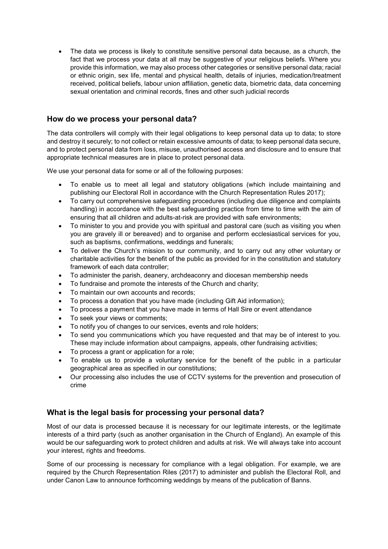• **The data we process is likely to constitute sensitive personal data because, as a church, the fact that we process your data at all may be suggestive of your religious beliefs. Where you provide this information, we may also process other categories or sensitive personal data; racial or ethnic origin, sex life, mental and physical health, details of injuries, medication/treatment received, political beliefs, labour union affiliation, genetic data, biometric data, data concerning sexual orientation and criminal records, fines and other such judicial records**

#### **How do we process your personal data?**

**The data controllers will comply with their legal obligations to keep personal data up to data; to store and destroy it securely; to not collect or retain excessive amounts of data; to keep personal data secure, and to protect personal data from loss, misuse, unauthorised access and disclosure and to ensure that appropriate technical measures are in place to protect personal data.**

**We use your personal data for some or all of the following purposes:**

- **To enable us to meet all legal and statutory obligations (which include maintaining and publishing our Electoral Roll in accordance with the Church Representation Rules 2017);**
- **To carry out comprehensive safeguarding procedures (including due diligence and complaints handling) in accordance with the best safeguarding practice from time to time with the aim of ensuring that all children and adults-at-risk are provided with safe environments;**
- **To minister to you and provide you with spiritual and pastoral care (such as visiting you when you are gravely ill or bereaved) and to organise and perform ecclesiastical services for you, such as baptisms, confirmations, weddings and funerals;**
- **To deliver the Church's mission to our community, and to carry out any other voluntary or charitable activities for the benefit of the public as provided for in the constitution and statutory framework of each data controller;**
- **To administer the parish, deanery, archdeaconry and diocesan membership needs**
- **To fundraise and promote the interests of the Church and charity;**
- **To maintain our own accounts and records;**
- **To process a donation that you have made (including Gift Aid information);**
- **To process a payment that you have made in terms of Hall Sire or event attendance**
- **To seek your views or comments;**
- **To notify you of changes to our services, events and role holders;**
- **To send you communications which you have requested and that may be of interest to you. These may include information about campaigns, appeals, other fundraising activities;**
- **To process a grant or application for a role;**
- **To enable us to provide a voluntary service for the benefit of the public in a particular geographical area as specified in our constitutions;**
- **Our processing also includes the use of CCTV systems for the prevention and prosecution of crime**

#### **What is the legal basis for processing your personal data?**

**Most of our data is processed because it is necessary for our legitimate interests, or the legitimate interests of a third party (such as another organisation in the Church of England). An example of this would be our safeguarding work to protect children and adults at risk. We will always take into account your interest, rights and freedoms.** 

**Some of our processing is necessary for compliance with a legal obligation. For example, we are required by the Church Representation Riles (2017) to administer and publish the Electoral Roll, and under Canon Law to announce forthcoming weddings by means of the publication of Banns.**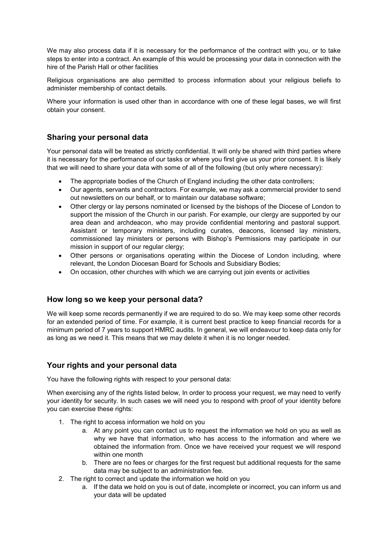**We may also process data if it is necessary for the performance of the contract with you, or to take steps to enter into a contract. An example of this would be processing your data in connection with the hire of the Parish Hall or other facilities**

**Religious organisations are also permitted to process information about your religious beliefs to administer membership of contact details.**

**Where your information is used other than in accordance with one of these legal bases, we will first obtain your consent.** 

#### **Sharing your personal data**

**Your personal data will be treated as strictly confidential. It will only be shared with third parties where it is necessary for the performance of our tasks or where you first give us your prior consent. It is likely that we will need to share your data with some of all of the following (but only where necessary):**

- **The appropriate bodies of the Church of England including the other data controllers;**
- **Our agents, servants and contractors. For example, we may ask a commercial provider to send out newsletters on our behalf, or to maintain our database software;**
- **Other clergy or lay persons nominated or licensed by the bishops of the Diocese of London to support the mission of the Church in our parish. For example, our clergy are supported by our area dean and archdeacon, who may provide confidential mentoring and pastoral support. Assistant or temporary ministers, including curates, deacons, licensed lay ministers, commissioned lay ministers or persons with Bishop's Permissions may participate in our mission in support of our regular clergy;**
- **Other persons or organisations operating within the Diocese of London including, where relevant, the London Diocesan Board for Schools and Subsidiary Bodies;**
- **On occasion, other churches with which we are carrying out join events or activities**

#### **How long so we keep your personal data?**

**We will keep some records permanently if we are required to do so. We may keep some other records for an extended period of time. For example, it is current best practice to keep financial records for a minimum period of 7 years to support HMRC audits. In general, we will endeavour to keep data only for as long as we need it. This means that we may delete it when it is no longer needed.**

#### **Your rights and your personal data**

**You have the following rights with respect to your personal data:**

**When exercising any of the rights listed below, In order to process your request, we may need to verify your identity for security. In such cases we will need you to respond with proof of your identity before you can exercise these rights:**

- **1. The right to access information we hold on you**
	- **a. At any point you can contact us to request the information we hold on you as well as why we have that information, who has access to the information and where we obtained the information from. Once we have received your request we will respond within one month**
	- **b. There are no fees or charges for the first request but additional requests for the same data may be subject to an administration fee.**
- **2. The right to correct and update the information we hold on you**
	- **a. If the data we hold on you is out of date, incomplete or incorrect, you can inform us and your data will be updated**